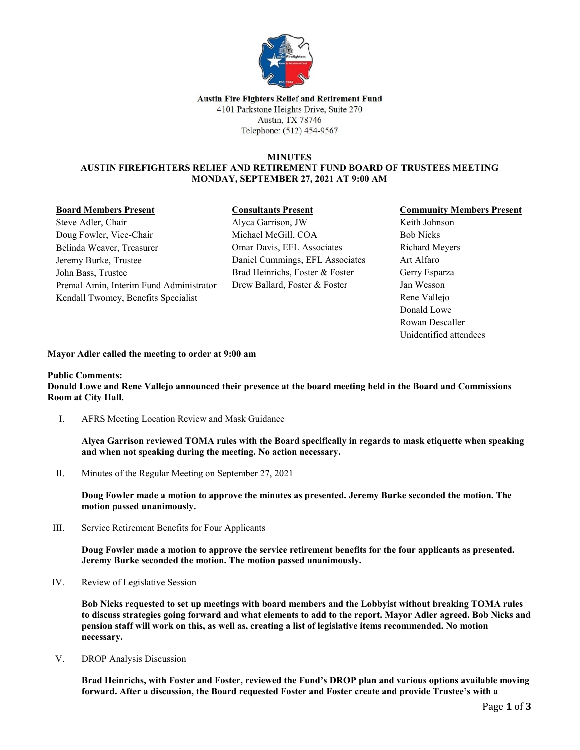

#### Austin Fire Fighters Relief and Retirement Fund 4101 Parkstone Heights Drive, Suite 270 **Austin, TX 78746** Telephone: (512) 454-9567

## **MINUTES AUSTIN FIREFIGHTERS RELIEF AND RETIREMENT FUND BOARD OF TRUSTEES MEETING MONDAY, SEPTEMBER 27, 2021 AT 9:00 AM**

## **Board Members Present**

# **Consultants Present**

Steve Adler, Chair Doug Fowler, Vice-Chair Belinda Weaver, Treasurer Jeremy Burke, Trustee John Bass, Trustee Premal Amin, Interim Fund Administrator Kendall Twomey, Benefits Specialist

Alyca Garrison, JW Michael McGill, COA Omar Davis, EFL Associates Daniel Cummings, EFL Associates Brad Heinrichs, Foster & Foster Drew Ballard, Foster & Foster

# **Community Members Present**

Keith Johnson Bob Nicks Richard Meyers Art Alfaro Gerry Esparza Jan Wesson Rene Vallejo Donald Lowe Rowan Descaller Unidentified attendees

## **Mayor Adler called the meeting to order at 9:00 am**

# **Public Comments:**

**Donald Lowe and Rene Vallejo announced their presence at the board meeting held in the Board and Commissions Room at City Hall.** 

I. AFRS Meeting Location Review and Mask Guidance

**Alyca Garrison reviewed TOMA rules with the Board specifically in regards to mask etiquette when speaking and when not speaking during the meeting. No action necessary.**

II. Minutes of the Regular Meeting on September 27, 2021

**Doug Fowler made a motion to approve the minutes as presented. Jeremy Burke seconded the motion. The motion passed unanimously.**

III. Service Retirement Benefits for Four Applicants

**Doug Fowler made a motion to approve the service retirement benefits for the four applicants as presented. Jeremy Burke seconded the motion. The motion passed unanimously.**

IV. Review of Legislative Session

**Bob Nicks requested to set up meetings with board members and the Lobbyist without breaking TOMA rules to discuss strategies going forward and what elements to add to the report. Mayor Adler agreed. Bob Nicks and pension staff will work on this, as well as, creating a list of legislative items recommended. No motion necessary.**

V. DROP Analysis Discussion

**Brad Heinrichs, with Foster and Foster, reviewed the Fund's DROP plan and various options available moving forward. After a discussion, the Board requested Foster and Foster create and provide Trustee's with a**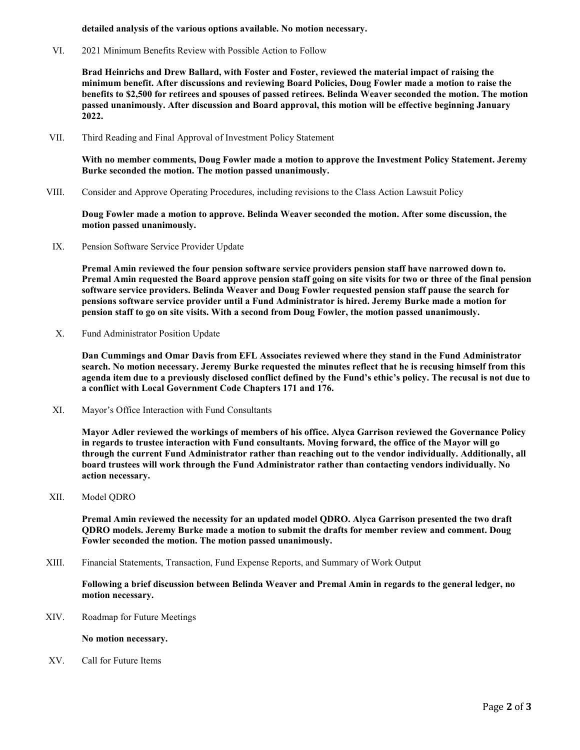#### **detailed analysis of the various options available. No motion necessary.**

VI. 2021 Minimum Benefits Review with Possible Action to Follow

**Brad Heinrichs and Drew Ballard, with Foster and Foster, reviewed the material impact of raising the minimum benefit. After discussions and reviewing Board Policies, Doug Fowler made a motion to raise the benefits to \$2,500 for retirees and spouses of passed retirees. Belinda Weaver seconded the motion. The motion passed unanimously. After discussion and Board approval, this motion will be effective beginning January 2022.** 

VII. Third Reading and Final Approval of Investment Policy Statement

**With no member comments, Doug Fowler made a motion to approve the Investment Policy Statement. Jeremy Burke seconded the motion. The motion passed unanimously.** 

VIII. Consider and Approve Operating Procedures, including revisions to the Class Action Lawsuit Policy

**Doug Fowler made a motion to approve. Belinda Weaver seconded the motion. After some discussion, the motion passed unanimously.**

IX. Pension Software Service Provider Update

**Premal Amin reviewed the four pension software service providers pension staff have narrowed down to. Premal Amin requested the Board approve pension staff going on site visits for two or three of the final pension software service providers. Belinda Weaver and Doug Fowler requested pension staff pause the search for pensions software service provider until a Fund Administrator is hired. Jeremy Burke made a motion for pension staff to go on site visits. With a second from Doug Fowler, the motion passed unanimously.** 

X. Fund Administrator Position Update

**Dan Cummings and Omar Davis from EFL Associates reviewed where they stand in the Fund Administrator search. No motion necessary. Jeremy Burke requested the minutes reflect that he is recusing himself from this agenda item due to a previously disclosed conflict defined by the Fund's ethic's policy. The recusal is not due to a conflict with Local Government Code Chapters 171 and 176.**

XI. Mayor's Office Interaction with Fund Consultants

**Mayor Adler reviewed the workings of members of his office. Alyca Garrison reviewed the Governance Policy in regards to trustee interaction with Fund consultants. Moving forward, the office of the Mayor will go through the current Fund Administrator rather than reaching out to the vendor individually. Additionally, all board trustees will work through the Fund Administrator rather than contacting vendors individually. No action necessary.** 

XII. Model QDRO

**Premal Amin reviewed the necessity for an updated model QDRO. Alyca Garrison presented the two draft QDRO models. Jeremy Burke made a motion to submit the drafts for member review and comment. Doug Fowler seconded the motion. The motion passed unanimously.** 

XIII. Financial Statements, Transaction, Fund Expense Reports, and Summary of Work Output

**Following a brief discussion between Belinda Weaver and Premal Amin in regards to the general ledger, no motion necessary.** 

XIV. Roadmap for Future Meetings

#### **No motion necessary.**

XV. Call for Future Items